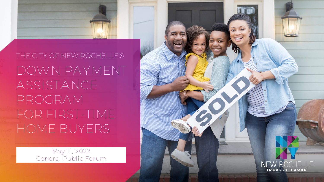

# DOWN PAYMENT ASSISTANCE PROGRAM FOR FIRST-TIME HOME BUYERS

May 11, 2022 General Public Forum

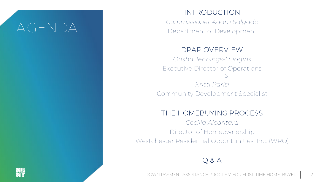### AGENDA

#### INTRODUCTION

*Commissioner Adam Salgado* Department of Development

#### DPAP OVERVIEW

*Orisha Jennings-Hudgins* Executive Director of Operations & *Kristi Parisi* Community Development Specialist

#### THE HOMEBUYING PROCESS

*Cecilia Alcantara* Director of Homeownership Westchester Residential Opportunities, Inc. (WRO)

#### Q & A

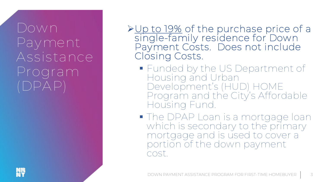### Down Payment Assistance Program (DPAP)

Up to 19% of the purchase price of a single-family residence for Down Payment Costs. Does not include Closing Costs.

- **Funded by the US Department of** Housing and Urban Development's (HUD) HOME Program and the City's Affordable Housing Fund.
- **The DPAP Loan is a mortgage loan** which is secondary to the primary mortgage and is used to cover a portion of the down payment cost.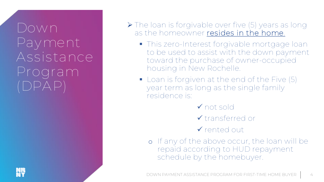### Down Payment Assistance Program (DPAP)

- ▶ The loan is forgivable over five (5) years as long as the homeowner resides in the home.
	- **This zero-Interest forgivable mortgage loan** to be used to assist with the down payment toward the purchase of owner-occupied housing in New Rochelle.
	- **Loan is forgiven at the end of the Five (5)** year term as long as the single family residence is:
		- not sold
		- transferred or
		- V rented out
		- o If any of the above occur, the loan will be repaid according to HUD repayment schedule by the homebuyer.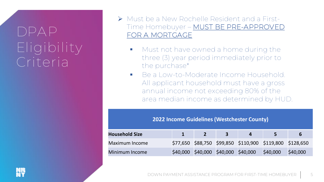# DPAP Eligibility Criteria

- Must be a New Rochelle Resident and a First-Time Homebuyer – MUST BE PRE-APPROVED FOR A MORTGAGE
	- Must not have owned a home during the three (3) year period immediately prior to the purchase\*
	- **Be a Low-to-Moderate Income Household.** All applicant household must have a gross annual income not exceeding 80% of the area median income as determined by HUD.

| <b>2022 Income Guidelines (Westchester County)</b> |  |                |                                     |                                                          |          |          |
|----------------------------------------------------|--|----------------|-------------------------------------|----------------------------------------------------------|----------|----------|
| <b>Household Size</b>                              |  | 2 <sup>1</sup> | $\mathbf{3}$                        | 4                                                        | 5        | 6        |
| Maximum Income                                     |  |                |                                     | \$77,650 \$88,750 \$99,850 \$110,900 \$119,800 \$128,650 |          |          |
| Minimum Income                                     |  |                | \$40,000 \$40,000 \$40,000 \$40,000 |                                                          | \$40,000 | \$40,000 |

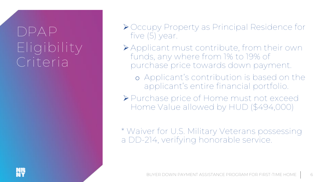# $DPAP$ Eligibility Criteria

- ▶ Occupy Property as Principal Residence for five (5) year.
- Applicant must contribute, from their own funds, any where from 1% to 19% of purchase price towards down payment.
	- o Applicant's contribution is based on the applicant's entire financial portfolio.
- Purchase price of Home must not exceed Home Value allowed by HUD (\$494,000)

\* Waiver for U.S. Military Veterans possessing a DD-214, verifying honorable service.

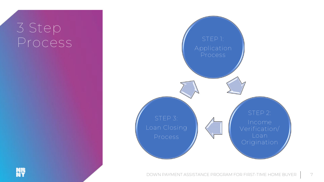#### 3 Step Process



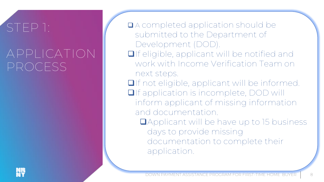# STEP 1:

### APPLICATION PROCESS

 A completed application should be submitted to the Department of Development (DOD). **O**If eligible, applicant will be notified and work with Income Verification Team on next steps. **O**If not eligible, applicant will be informed. **O**If application is incomplete, DOD will inform applicant of missing information and documentation. **QApplicant will be have up to 15 business** days to provide missing documentation to complete their application.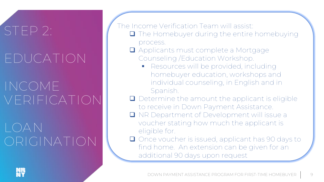# STEP 2: EDUCATION

# INCOME VERIFICATION

# LOAN ORIGINATION

The Income Verification Team will assist:

- **The Homebuyer during the entire homebuying** process.
- **Q** Applicants must complete a Mortgage Counseling /Education Workshop.
	- **Resources will be provided, including** homebuyer education, workshops and individual counseling, in English and in Spanish.
- Determine the amount the applicant is eligible to receive in Down Payment Assistance.
- **Q** NR Department of Development will issue a voucher stating how much the applicant is eligible for.
- Once voucher is issued, applicant has 90 days to find home. An extension can be given for an additional 90 days upon request

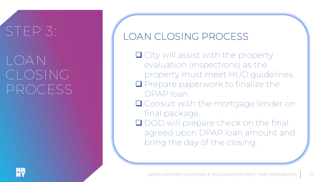# STEP 3:

# LOAN CLOSING PROCESS

#### LOAN CLOSING PROCESS

- City will assist with the property evaluation (inspections) as the property must meet HUD guidelines.
- **Q** Prepare paperwork to finalize the DPAP loan.
- **Q** Consult with the mortgage lender on final package.
- **OD** will prepare check on the final agreed upon DPAP loan amount and bring the day of the closing.

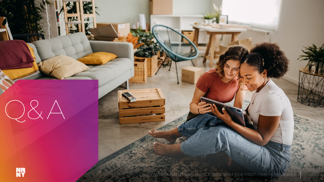